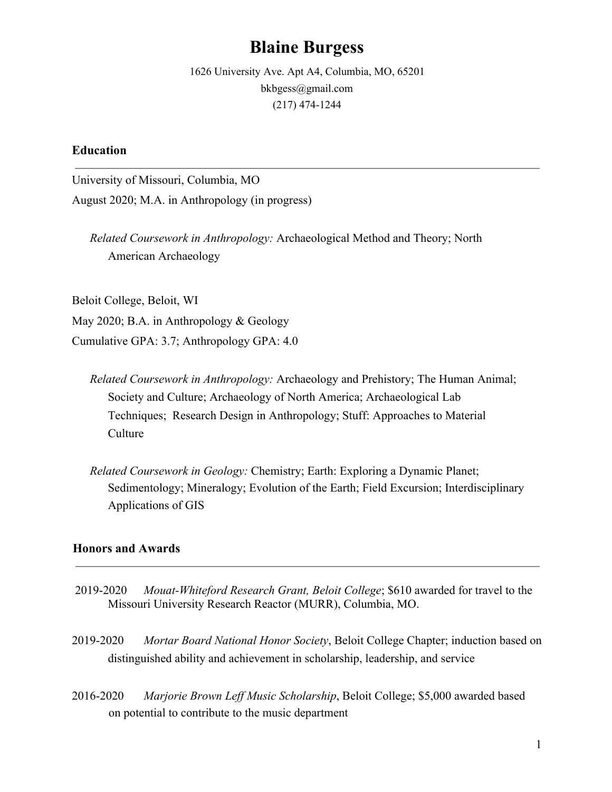# **Blaine Burgess**

1626 University Ave. Apt A4, Columbia, MO, 65201 bkbgess@gmail.com (217) 474-1244

# **Education**

University of Missouri, Columbia, MO August 2020; M.A. in Anthropology (in progress)

*Related Coursework in Anthropology:* Archaeological Method and Theory; North American Archaeology

Beloit College, Beloit, WI May 2020; B.A. in Anthropology & Geology

Cumulative GPA: 3.7; Anthropology GPA: 4.0

- *Related Coursework in Anthropology:* Archaeology and Prehistory; The Human Animal; Society and Culture; Archaeology of North America; Archaeological Lab Techniques; Research Design in Anthropology; Stuff: Approaches to Material **Culture**
- *Related Coursework in Geology:* Chemistry; Earth: Exploring a Dynamic Planet; Sedimentology; Mineralogy; Evolution of the Earth; Field Excursion; Interdisciplinary Applications of GIS

#### **Honors and Awards**

- 2019-2020 *Mouat-Whiteford Research Grant, Beloit College*; \$610 awarded for travel to the Missouri University Research Reactor (MURR), Columbia, MO.
- 2019-2020 *Mortar Board National Honor Society*, Beloit College Chapter; induction based on distinguished ability and achievement in scholarship, leadership, and service
- 2016-2020 *Marjorie Brown Leff Music Scholarship*, Beloit College; \$5,000 awarded based on potential to contribute to the music department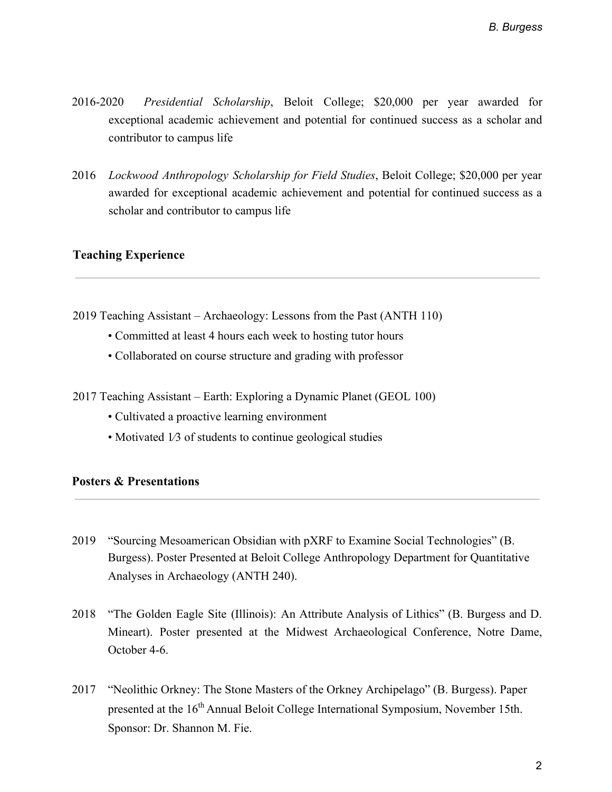- 2016-2020 *Presidential Scholarship*, Beloit College; \$20,000 per year awarded for exceptional academic achievement and potential for continued success as a scholar and contributor to campus life
- 2016 *Lockwood Anthropology Scholarship for Field Studies*, Beloit College; \$20,000 per year awarded for exceptional academic achievement and potential for continued success as a scholar and contributor to campus life

#### **Teaching Experience**

2019 Teaching Assistant – Archaeology: Lessons from the Past (ANTH 110)

- Committed at least 4 hours each week to hosting tutor hours
- Collaborated on course structure and grading with professor
- 2017 Teaching Assistant Earth: Exploring a Dynamic Planet (GEOL 100)
	- Cultivated a proactive learning environment
	- Motivated 1/3 of students to continue geological studies

# **Posters & Presentations**

- 2019 "Sourcing Mesoamerican Obsidian with pXRF to Examine Social Technologies" (B. Burgess). Poster Presented at Beloit College Anthropology Department for Quantitative Analyses in Archaeology (ANTH 240).
- 2018 "The Golden Eagle Site (Illinois): An Attribute Analysis of Lithics" (B. Burgess and D. Mineart). Poster presented at the Midwest Archaeological Conference, Notre Dame, October 4-6.
- 2017 "Neolithic Orkney: The Stone Masters of the Orkney Archipelago" (B. Burgess). Paper presented at the 16<sup>th</sup> Annual Beloit College International Symposium, November 15th. Sponsor: Dr. Shannon M. Fie.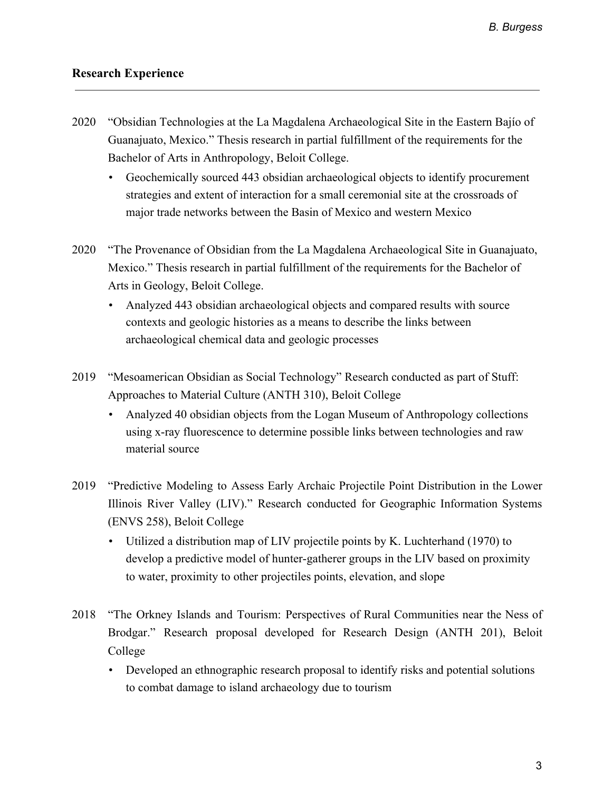# **Research Experience**

- 2020 "Obsidian Technologies at the La Magdalena Archaeological Site in the Eastern Bajío of Guanajuato, Mexico." Thesis research in partial fulfillment of the requirements for the Bachelor of Arts in Anthropology, Beloit College.
	- Geochemically sourced 443 obsidian archaeological objects to identify procurement strategies and extent of interaction for a small ceremonial site at the crossroads of major trade networks between the Basin of Mexico and western Mexico
- 2020 "The Provenance of Obsidian from the La Magdalena Archaeological Site in Guanajuato, Mexico." Thesis research in partial fulfillment of the requirements for the Bachelor of Arts in Geology, Beloit College.
	- Analyzed 443 obsidian archaeological objects and compared results with source contexts and geologic histories as a means to describe the links between archaeological chemical data and geologic processes
- 2019 "Mesoamerican Obsidian as Social Technology" Research conducted as part of Stuff: Approaches to Material Culture (ANTH 310), Beloit College
	- Analyzed 40 obsidian objects from the Logan Museum of Anthropology collections using x-ray fluorescence to determine possible links between technologies and raw material source
- 2019 "Predictive Modeling to Assess Early Archaic Projectile Point Distribution in the Lower Illinois River Valley (LIV)." Research conducted for Geographic Information Systems (ENVS 258), Beloit College
	- Utilized a distribution map of LIV projectile points by K. Luchterhand (1970) to develop a predictive model of hunter-gatherer groups in the LIV based on proximity to water, proximity to other projectiles points, elevation, and slope
- 2018 "The Orkney Islands and Tourism: Perspectives of Rural Communities near the Ness of Brodgar." Research proposal developed for Research Design (ANTH 201), Beloit College
	- Developed an ethnographic research proposal to identify risks and potential solutions to combat damage to island archaeology due to tourism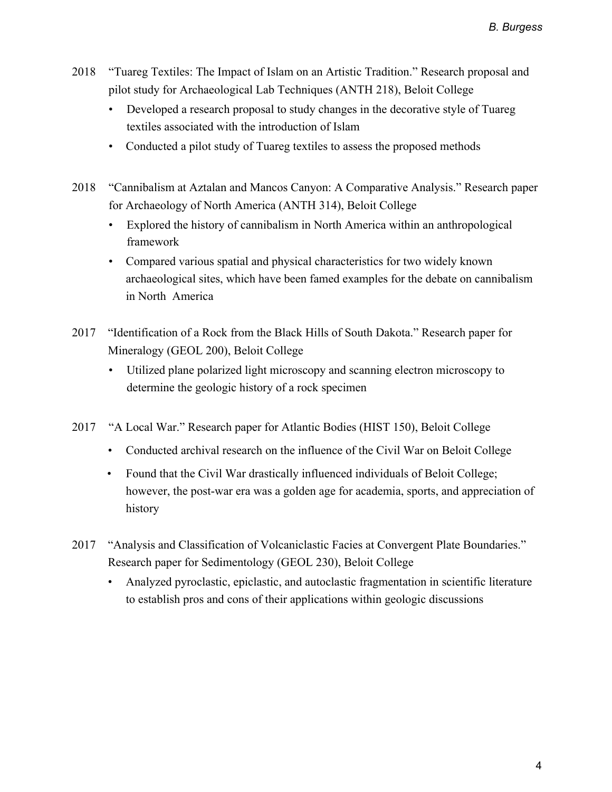- 2018 "Tuareg Textiles: The Impact of Islam on an Artistic Tradition." Research proposal and pilot study for Archaeological Lab Techniques (ANTH 218), Beloit College
	- Developed a research proposal to study changes in the decorative style of Tuareg textiles associated with the introduction of Islam
	- Conducted a pilot study of Tuareg textiles to assess the proposed methods
- 2018 "Cannibalism at Aztalan and Mancos Canyon: A Comparative Analysis." Research paper for Archaeology of North America (ANTH 314), Beloit College
	- Explored the history of cannibalism in North America within an anthropological framework
	- Compared various spatial and physical characteristics for two widely known archaeological sites, which have been famed examples for the debate on cannibalism in North America
- 2017 "Identification of a Rock from the Black Hills of South Dakota." Research paper for Mineralogy (GEOL 200), Beloit College
	- Utilized plane polarized light microscopy and scanning electron microscopy to determine the geologic history of a rock specimen
- 2017 "A Local War." Research paper for Atlantic Bodies (HIST 150), Beloit College
	- Conducted archival research on the influence of the Civil War on Beloit College
	- Found that the Civil War drastically influenced individuals of Beloit College; however, the post-war era was a golden age for academia, sports, and appreciation of history
- 2017 "Analysis and Classification of Volcaniclastic Facies at Convergent Plate Boundaries." Research paper for Sedimentology (GEOL 230), Beloit College
	- Analyzed pyroclastic, epiclastic, and autoclastic fragmentation in scientific literature to establish pros and cons of their applications within geologic discussions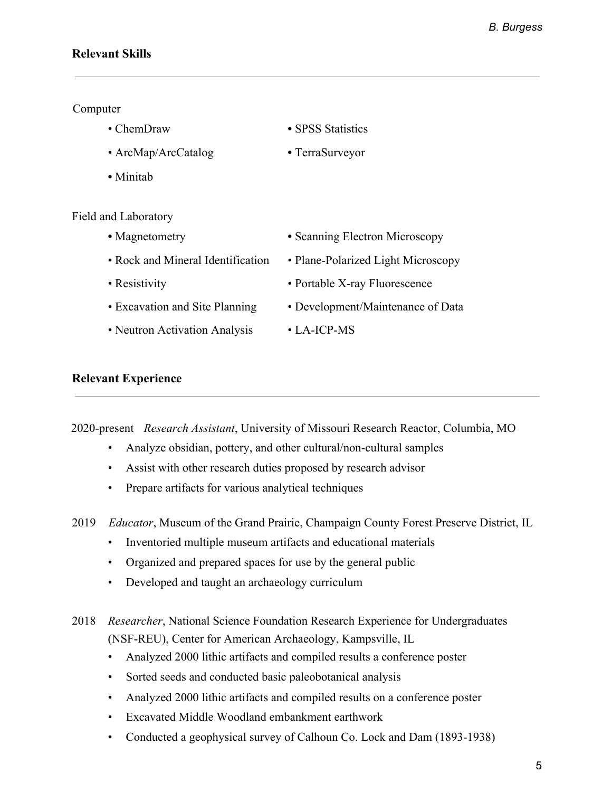# **Relevant Skills**

#### Computer

Field

| • ChemDraw          | • SPSS Statistics |
|---------------------|-------------------|
| • ArcMap/ArcCatalog | • TerraSurveyor   |
| • Minitah           |                   |
| and Laboratory      |                   |
|                     |                   |

| • Magnetometry                    | • Scanning Electron Microscopy     |
|-----------------------------------|------------------------------------|
| • Rock and Mineral Identification | • Plane-Polarized Light Microscopy |
| • Resistivity                     | • Portable X-ray Fluorescence      |
| • Excavation and Site Planning    | • Development/Maintenance of Data  |
| • Neutron Activation Analysis     | $\cdot$ LA-ICP-MS                  |
|                                   |                                    |

#### **Relevant Experience**

2020-present *Research Assistant*, University of Missouri Research Reactor, Columbia, MO

- Analyze obsidian, pottery, and other cultural/non-cultural samples
- Assist with other research duties proposed by research advisor
- Prepare artifacts for various analytical techniques
- 2019 *Educator*, Museum of the Grand Prairie, Champaign County Forest Preserve District, IL
	- Inventoried multiple museum artifacts and educational materials
	- Organized and prepared spaces for use by the general public
	- Developed and taught an archaeology curriculum
- 2018 *Researcher*, National Science Foundation Research Experience for Undergraduates (NSF-REU), Center for American Archaeology, Kampsville, IL
	- Analyzed 2000 lithic artifacts and compiled results a conference poster
	- Sorted seeds and conducted basic paleobotanical analysis
	- Analyzed 2000 lithic artifacts and compiled results on a conference poster
	- Excavated Middle Woodland embankment earthwork
	- Conducted a geophysical survey of Calhoun Co. Lock and Dam (1893-1938)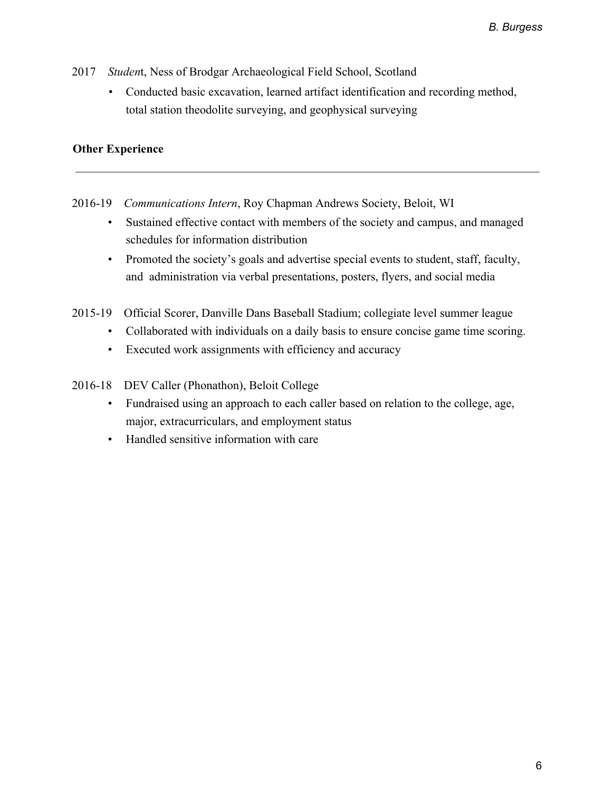- 2017 *Studen*t, Ness of Brodgar Archaeological Field School, Scotland
	- Conducted basic excavation, learned artifact identification and recording method, total station theodolite surveying, and geophysical surveying

# **Other Experience**

- 2016-19 *Communications Intern*, Roy Chapman Andrews Society, Beloit, WI
	- Sustained effective contact with members of the society and campus, and managed schedules for information distribution
	- Promoted the society's goals and advertise special events to student, staff, faculty, and administration via verbal presentations, posters, flyers, and social media
- 2015-19 Official Scorer, Danville Dans Baseball Stadium; collegiate level summer league
	- Collaborated with individuals on a daily basis to ensure concise game time scoring.
	- Executed work assignments with efficiency and accuracy
- 2016-18 DEV Caller (Phonathon), Beloit College
	- Fundraised using an approach to each caller based on relation to the college, age, major, extracurriculars, and employment status
	- Handled sensitive information with care